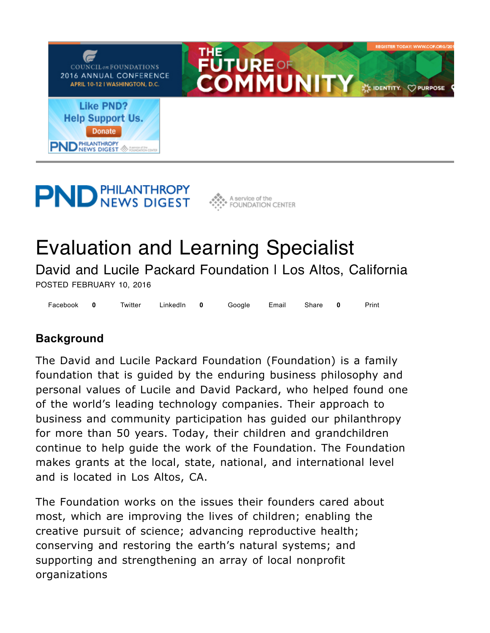

# **PND PHILANTHROPY**



# Evaluation and Learning Specialist

David and Lucile Packard Foundation I Los Altos, California POSTED FEBRUARY 10, 2016

Facebook 0 Twitter LinkedIn 0 Google Email Share 0 Print **0 0 0**

# **Background**

The David and Lucile Packard Foundation (Foundation) is a family foundation that is guided by the enduring business philosophy and personal values of Lucile and David Packard, who helped found one of the world's leading technology companies. Their approach to business and community participation has guided our philanthropy for more than 50 years. Today, their children and grandchildren continue to help guide the work of the Foundation. The Foundation makes grants at the local, state, national, and international level and is located in Los Altos, CA.

The Foundation works on the issues their founders cared about most, which are improving the lives of children; enabling the creative pursuit of science; advancing reproductive health; conserving and restoring the earth's natural systems; and supporting and strengthening an array of local nonprofit organizations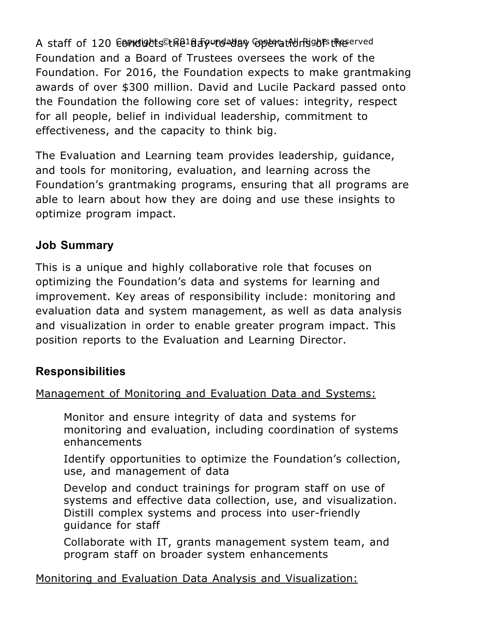A staff of 120 E0PMdights©tk2lda5yurdaday GoperatMonPightstReserved Foundation and a Board of Trustees oversees the work of the Foundation. For 2016, the Foundation expects to make grantmaking awards of over \$300 million. David and Lucile Packard passed onto the Foundation the following core set of values: integrity, respect for all people, belief in individual leadership, commitment to effectiveness, and the capacity to think big.

The Evaluation and Learning team provides leadership, guidance, and tools for monitoring, evaluation, and learning across the Foundation's grantmaking programs, ensuring that all programs are able to learn about how they are doing and use these insights to optimize program impact.

### **Job Summary**

This is a unique and highly collaborative role that focuses on optimizing the Foundation's data and systems for learning and improvement. Key areas of responsibility include: monitoring and evaluation data and system management, as well as data analysis and visualization in order to enable greater program impact. This position reports to the Evaluation and Learning Director.

#### **Responsibilities**

Management of Monitoring and Evaluation Data and Systems:

Monitor and ensure integrity of data and systems for monitoring and evaluation, including coordination of systems enhancements

Identify opportunities to optimize the Foundation's collection, use, and management of data

Develop and conduct trainings for program staff on use of systems and effective data collection, use, and visualization. Distill complex systems and process into user-friendly guidance for staff

Collaborate with IT, grants management system team, and program staff on broader system enhancements

Monitoring and Evaluation Data Analysis and Visualization: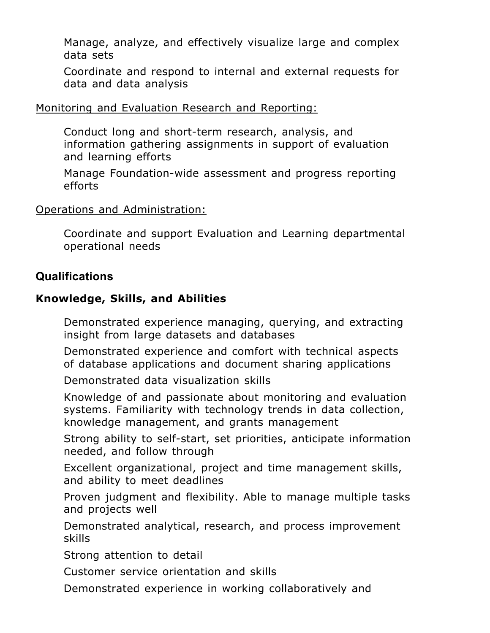Manage, analyze, and effectively visualize large and complex data sets

Coordinate and respond to internal and external requests for data and data analysis

#### Monitoring and Evaluation Research and Reporting:

Conduct long and short-term research, analysis, and information gathering assignments in support of evaluation and learning efforts

Manage Foundation-wide assessment and progress reporting efforts

#### Operations and Administration:

Coordinate and support Evaluation and Learning departmental operational needs

#### **Qualifications**

#### **Knowledge, Skills, and Abilities**

Demonstrated experience managing, querying, and extracting insight from large datasets and databases

Demonstrated experience and comfort with technical aspects of database applications and document sharing applications

Demonstrated data visualization skills

Knowledge of and passionate about monitoring and evaluation systems. Familiarity with technology trends in data collection, knowledge management, and grants management

Strong ability to self-start, set priorities, anticipate information needed, and follow through

Excellent organizational, project and time management skills, and ability to meet deadlines

Proven judgment and flexibility. Able to manage multiple tasks and projects well

Demonstrated analytical, research, and process improvement skills

Strong attention to detail

Customer service orientation and skills

Demonstrated experience in working collaboratively and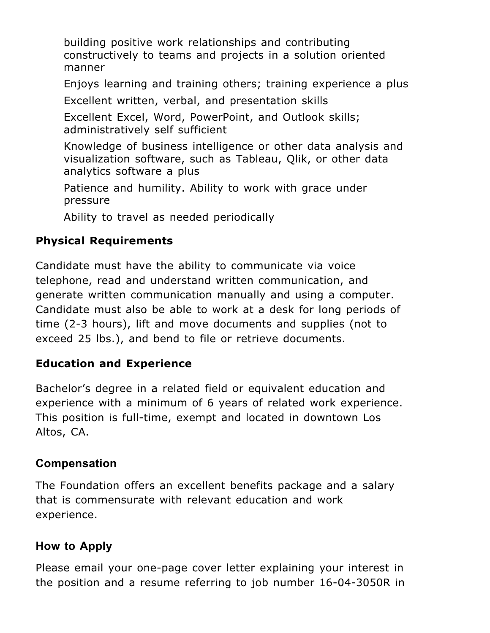building positive work relationships and contributing constructively to teams and projects in a solution oriented manner

Enjoys learning and training others; training experience a plus

Excellent written, verbal, and presentation skills

Excellent Excel, Word, PowerPoint, and Outlook skills; administratively self sufficient

Knowledge of business intelligence or other data analysis and visualization software, such as Tableau, Qlik, or other data analytics software a plus

Patience and humility. Ability to work with grace under pressure

Ability to travel as needed periodically

# **Physical Requirements**

Candidate must have the ability to communicate via voice telephone, read and understand written communication, and generate written communication manually and using a computer. Candidate must also be able to work at a desk for long periods of time (2-3 hours), lift and move documents and supplies (not to exceed 25 lbs.), and bend to file or retrieve documents.

# **Education and Experience**

Bachelor's degree in a related field or equivalent education and experience with a minimum of 6 years of related work experience. This position is full-time, exempt and located in downtown Los Altos, CA.

# **Compensation**

The Foundation offers an excellent benefits package and a salary that is commensurate with relevant education and work experience.

# **How to Apply**

Please email your one-page cover letter explaining your interest in the position and a resume referring to job number 16-04-3050R in